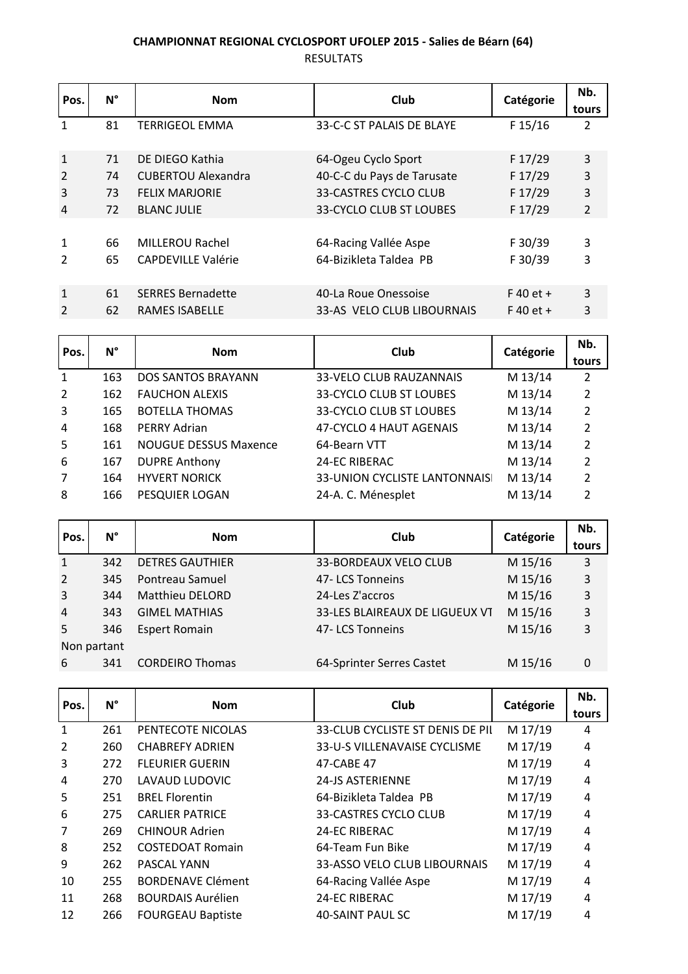## **CHAMPIONNAT REGIONAL CYCLOSPORT UFOLEP 2015 - Salies de Béarn (64)**

RESULTATS

| Pos.           | $N^{\circ}$ | <b>Nom</b>                | Club                           | Catégorie   | Nb.<br>tours   |
|----------------|-------------|---------------------------|--------------------------------|-------------|----------------|
|                | 81          | <b>TERRIGEOL EMMA</b>     | 33-C-C ST PALAIS DE BLAYE      | F 15/16     | 2              |
| $\mathbf{1}$   | 71          | DE DIEGO Kathia           | 64-Ogeu Cyclo Sport            | F 17/29     | 3              |
| 2              | 74          | <b>CUBERTOU Alexandra</b> | 40-C-C du Pays de Tarusate     | F 17/29     | 3              |
| $\overline{3}$ | 73          | <b>FELIX MARJORIE</b>     | 33-CASTRES CYCLO CLUB          | F 17/29     | 3              |
| 4              | 72          | <b>BLANC JULIE</b>        | <b>33-CYCLO CLUB ST LOUBES</b> | F 17/29     | $\overline{2}$ |
|                |             |                           |                                |             |                |
| 1              | 66          | <b>MILLEROU Rachel</b>    | 64-Racing Vallée Aspe          | F 30/39     | 3              |
| 2              | 65          | <b>CAPDEVILLE Valérie</b> | 64-Bizikleta Taldea PB         | F 30/39     | 3              |
| $\mathbf{1}$   | 61          | <b>SERRES Bernadette</b>  | 40-La Roue Onessoise           | $F$ 40 et + | 3              |
| 2              | 62          | <b>RAMES ISABELLE</b>     | 33-AS VELO CLUB LIBOURNAIS     | $F$ 40 et + | 3              |

| Pos.           | $N^{\circ}$ | <b>Nom</b>                   | Club                                | Catégorie | Nb.            |
|----------------|-------------|------------------------------|-------------------------------------|-----------|----------------|
|                |             |                              |                                     |           | tours          |
| 1              | 163         | DOS SANTOS BRAYANN           | 33-VELO CLUB RAUZANNAIS             | M 13/14   | 2              |
| $\overline{2}$ | 162         | <b>FAUCHON ALEXIS</b>        | 33-CYCLO CLUB ST LOUBES             | M 13/14   | $\overline{2}$ |
| 3              | 165         | <b>BOTELLA THOMAS</b>        | 33-CYCLO CLUB ST LOUBES             | M 13/14   | 2              |
| $\overline{4}$ | 168         | <b>PERRY Adrian</b>          | 47-CYCLO 4 HAUT AGENAIS             | M 13/14   | 2              |
| .5             | 161         | <b>NOUGUE DESSUS Maxence</b> | 64-Bearn VTT                        | M 13/14   | $\overline{2}$ |
| 6              | 167         | <b>DUPRE Anthony</b>         | 24-EC RIBERAC                       | M 13/14   | $\overline{2}$ |
| 7              | 164         | <b>HYVERT NORICK</b>         | <b>33-UNION CYCLISTE LANTONNAIS</b> | M 13/14   | $\mathcal{P}$  |
| 8              | 166         | PESQUIER LOGAN               | 24-A. C. Ménesplet                  | M 13/14   | 2              |

| Pos.           | $N^{\circ}$ | <b>Nom</b>             | Club                           | Catégorie | Nb.<br>tours |
|----------------|-------------|------------------------|--------------------------------|-----------|--------------|
| $\mathbf 1$    | 342         | <b>DETRES GAUTHIER</b> | 33-BORDEAUX VELO CLUB          | M 15/16   | 3            |
| 2              | 345         | Pontreau Samuel        | 47-LCS Tonneins                | M 15/16   | 3            |
| $\overline{3}$ | 344         | <b>Matthieu DELORD</b> | 24-Les Z'accros                | M 15/16   | 3            |
| $\overline{4}$ | 343         | <b>GIMEL MATHIAS</b>   | 33-LES BLAIREAUX DE LIGUEUX VT | M 15/16   | 3            |
| 5              | 346         | <b>Espert Romain</b>   | 47-LCS Tonneins                | M 15/16   | 3            |
| Non partant    |             |                        |                                |           |              |
| 6              | 341         | <b>CORDEIRO Thomas</b> | 64-Sprinter Serres Castet      | M 15/16   | 0            |

| Pos.         | $N^{\circ}$ | <b>Nom</b>               | <b>Club</b>                      | Catégorie | Nb.<br>tours   |
|--------------|-------------|--------------------------|----------------------------------|-----------|----------------|
| $\mathbf{1}$ | 261         | PENTECOTE NICOLAS        | 33-CLUB CYCLISTE ST DENIS DE PII | M 17/19   | 4              |
| 2            | 260         | <b>CHABREFY ADRIEN</b>   | 33-U-S VILLENAVAISE CYCLISME     | M 17/19   | 4              |
| 3            | 272         | <b>FLEURIER GUERIN</b>   | 47-CABE 47                       | M 17/19   | 4              |
| 4            | 270         | LAVAUD LUDOVIC           | <b>24-JS ASTERIENNE</b>          | M 17/19   | $\overline{4}$ |
| 5            | 251         | <b>BREL Florentin</b>    | 64-Bizikleta Taldea PB           | M 17/19   | $\overline{4}$ |
| 6            | 275         | <b>CARLIER PATRICE</b>   | <b>33-CASTRES CYCLO CLUB</b>     | M 17/19   | 4              |
| 7            | 269         | <b>CHINOUR Adrien</b>    | <b>24-EC RIBERAC</b>             | M 17/19   | $\overline{4}$ |
| 8            | 252         | <b>COSTEDOAT Romain</b>  | 64-Team Fun Bike                 | M 17/19   | 4              |
| 9            | 262         | PASCAL YANN              | 33-ASSO VELO CLUB LIBOURNAIS     | M 17/19   | $\overline{4}$ |
| 10           | 255         | <b>BORDENAVE Clément</b> | 64-Racing Vallée Aspe            | M 17/19   | 4              |
| 11           | 268         | <b>BOURDAIS Aurélien</b> | <b>24-EC RIBERAC</b>             | M 17/19   | 4              |
| 12           | 266         | <b>FOURGEAU Baptiste</b> | 40-SAINT PAUL SC                 | M 17/19   | 4              |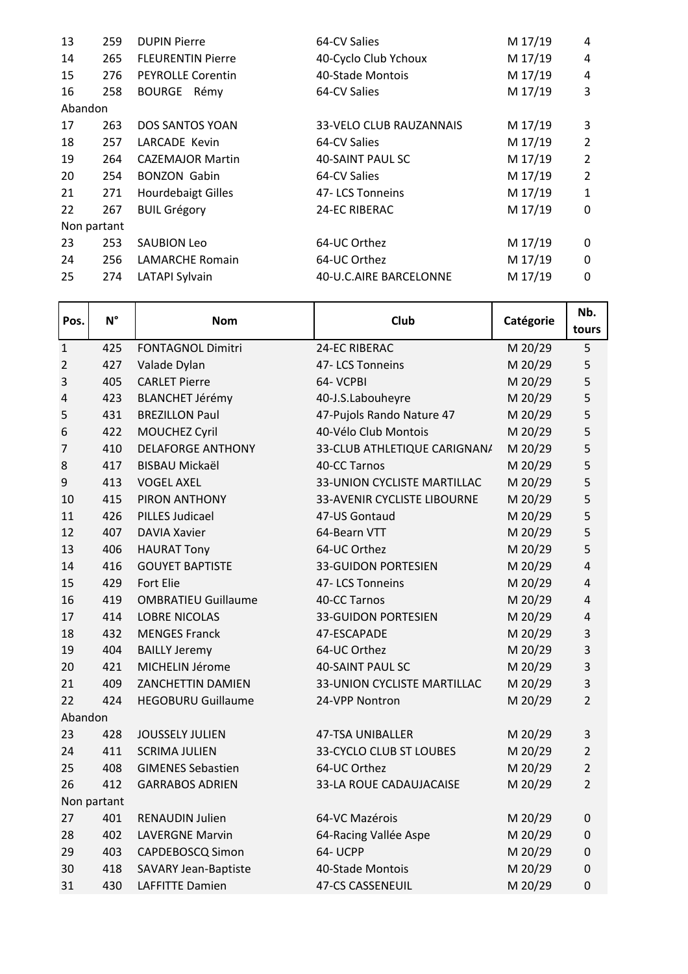| 13      | 259         | <b>DUPIN Pierre</b>       | 64-CV Salies            | M 17/19 | 4              |
|---------|-------------|---------------------------|-------------------------|---------|----------------|
| 14      | 265         | <b>FLEURENTIN Pierre</b>  | 40-Cyclo Club Ychoux    | M 17/19 | 4              |
| 15      | 276         | <b>PEYROLLE Corentin</b>  | 40-Stade Montois        | M 17/19 | $\overline{4}$ |
| 16      | 258         | BOURGE Rémy               | 64-CV Salies            | M 17/19 | 3              |
| Abandon |             |                           |                         |         |                |
| 17      | 263         | <b>DOS SANTOS YOAN</b>    | 33-VELO CLUB RAUZANNAIS | M 17/19 | 3              |
| 18      | 257         | LARCADE Kevin             | 64-CV Salies            | M 17/19 | 2              |
| 19      | 264         | <b>CAZEMAJOR Martin</b>   | 40-SAINT PAUL SC        | M 17/19 | $\overline{2}$ |
| 20      | 254         | <b>BONZON Gabin</b>       | 64-CV Salies            | M 17/19 | 2              |
| 21      | 271         | <b>Hourdebaigt Gilles</b> | 47-LCS Tonneins         | M 17/19 | $\mathbf{1}$   |
| 22      | 267         | <b>BUIL Grégory</b>       | <b>24-EC RIBERAC</b>    | M 17/19 | 0              |
|         | Non partant |                           |                         |         |                |
| 23      | 253         | SAUBION Leo               | 64-UC Orthez            | M 17/19 | $\mathbf{0}$   |
| 24      | 256         | <b>LAMARCHE Romain</b>    | 64-UC Orthez            | M 17/19 | 0              |
| 25      | 274         | LATAPI Sylvain            | 40-U.C.AIRE BARCELONNE  | M 17/19 | 0              |
|         |             |                           |                         |         |                |

| Pos.           | $N^{\circ}$ | <b>Nom</b>                  | Club                               | Catégorie | Nb.<br>tours     |
|----------------|-------------|-----------------------------|------------------------------------|-----------|------------------|
| $\mathbf 1$    | 425         | <b>FONTAGNOL Dimitri</b>    | 24-EC RIBERAC                      | M 20/29   | 5                |
| $\overline{2}$ | 427         | Valade Dylan                | 47-LCS Tonneins                    | M 20/29   | 5                |
| 3              | 405         | <b>CARLET Pierre</b>        | 64- VCPBI                          | M 20/29   | 5                |
| 4              | 423         | <b>BLANCHET Jérémy</b>      | 40-J.S.Labouheyre                  | M 20/29   | 5                |
| 5              | 431         | <b>BREZILLON Paul</b>       | 47-Pujols Rando Nature 47          | M 20/29   | 5                |
| 6              | 422         | MOUCHEZ Cyril               | 40-Vélo Club Montois               | M 20/29   | 5                |
| 7              | 410         | <b>DELAFORGE ANTHONY</b>    | 33-CLUB ATHLETIQUE CARIGNAN/       | M 20/29   | 5                |
| 8              | 417         | <b>BISBAU Mickaël</b>       | 40-CC Tarnos                       | M 20/29   | 5                |
| 9              | 413         | <b>VOGEL AXEL</b>           | <b>33-UNION CYCLISTE MARTILLAC</b> | M 20/29   | 5                |
| 10             | 415         | PIRON ANTHONY               | <b>33-AVENIR CYCLISTE LIBOURNE</b> | M 20/29   | 5                |
| 11             | 426         | <b>PILLES Judicael</b>      | 47-US Gontaud                      | M 20/29   | 5                |
| 12             | 407         | <b>DAVIA Xavier</b>         | 64-Bearn VTT                       | M 20/29   | 5                |
| 13             | 406         | <b>HAURAT Tony</b>          | 64-UC Orthez                       | M 20/29   | 5                |
| 14             | 416         | <b>GOUYET BAPTISTE</b>      | <b>33-GUIDON PORTESIEN</b>         | M 20/29   | 4                |
| 15             | 429         | Fort Elie                   | 47-LCS Tonneins                    | M 20/29   | 4                |
| 16             | 419         | <b>OMBRATIEU Guillaume</b>  | 40-CC Tarnos                       | M 20/29   | 4                |
| 17             | 414         | <b>LOBRE NICOLAS</b>        | <b>33-GUIDON PORTESIEN</b>         | M 20/29   | 4                |
| 18             | 432         | <b>MENGES Franck</b>        | 47-ESCAPADE                        | M 20/29   | 3                |
| 19             | 404         | <b>BAILLY Jeremy</b>        | 64-UC Orthez                       | M 20/29   | 3                |
| 20             | 421         | MICHELIN Jérome             | <b>40-SAINT PAUL SC</b>            | M 20/29   | 3                |
| 21             | 409         | ZANCHETTIN DAMIEN           | 33-UNION CYCLISTE MARTILLAC        | M 20/29   | 3                |
| 22             | 424         | <b>HEGOBURU Guillaume</b>   | 24-VPP Nontron                     | M 20/29   | $\overline{2}$   |
| Abandon        |             |                             |                                    |           |                  |
| 23             | 428         | <b>JOUSSELY JULIEN</b>      | 47-TSA UNIBALLER                   | M 20/29   | 3                |
| 24             | 411         | <b>SCRIMA JULIEN</b>        | <b>33-CYCLO CLUB ST LOUBES</b>     | M 20/29   | $\overline{2}$   |
| 25             | 408         | <b>GIMENES Sebastien</b>    | 64-UC Orthez                       | M 20/29   | $\overline{2}$   |
| 26             | 412         | <b>GARRABOS ADRIEN</b>      | 33-LA ROUE CADAUJACAISE            | M 20/29   | $\overline{2}$   |
|                | Non partant |                             |                                    |           |                  |
| 27             | 401         | <b>RENAUDIN Julien</b>      | 64-VC Mazérois                     | M 20/29   | $\boldsymbol{0}$ |
| 28             | 402         | <b>LAVERGNE Marvin</b>      | 64-Racing Vallée Aspe              | M 20/29   | 0                |
| 29             | 403         | <b>CAPDEBOSCQ Simon</b>     | 64- UCPP                           | M 20/29   | 0                |
| 30             | 418         | <b>SAVARY Jean-Baptiste</b> | 40-Stade Montois                   | M 20/29   | 0                |
| 31             | 430         | <b>LAFFITTE Damien</b>      | <b>47-CS CASSENEUIL</b>            | M 20/29   | 0                |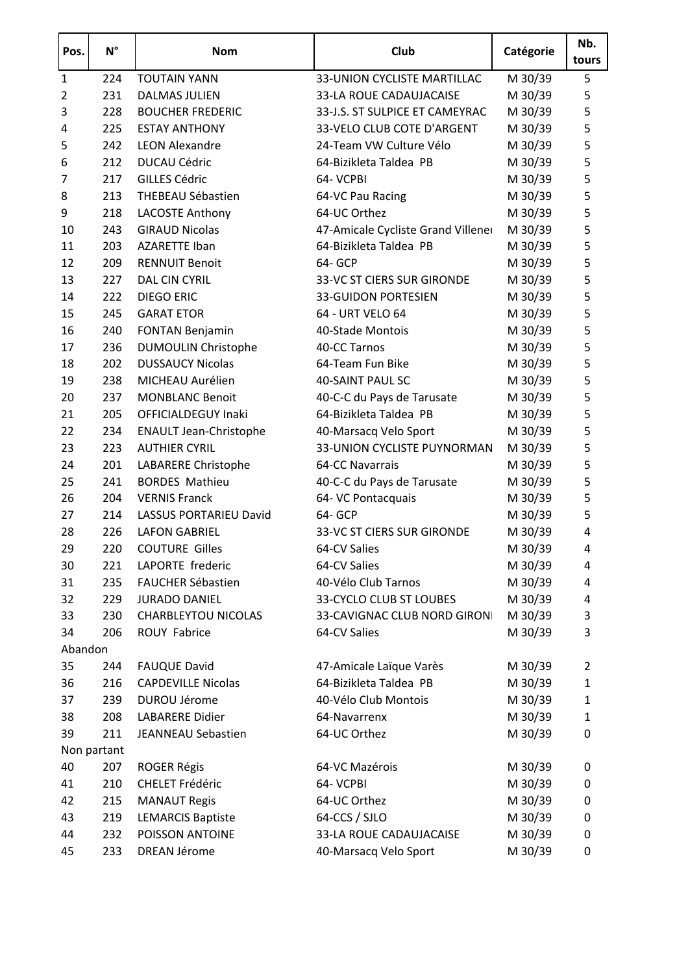| Pos.           | $N^{\circ}$ | <b>Nom</b>                    | Club                               | Catégorie | Nb.<br>tours |
|----------------|-------------|-------------------------------|------------------------------------|-----------|--------------|
| $\mathbf{1}$   | 224         | <b>TOUTAIN YANN</b>           | 33-UNION CYCLISTE MARTILLAC        | M 30/39   | 5            |
| $\overline{2}$ | 231         | <b>DALMAS JULIEN</b>          | 33-LA ROUE CADAUJACAISE            | M 30/39   | 5            |
| 3              | 228         | <b>BOUCHER FREDERIC</b>       | 33-J.S. ST SULPICE ET CAMEYRAC     | M 30/39   | 5            |
| $\overline{4}$ | 225         | <b>ESTAY ANTHONY</b>          | 33-VELO CLUB COTE D'ARGENT         | M 30/39   | 5            |
| 5              | 242         | <b>LEON Alexandre</b>         | 24-Team VW Culture Vélo            | M 30/39   | 5            |
| 6              | 212         | <b>DUCAU Cédric</b>           | 64-Bizikleta Taldea PB             | M 30/39   | 5            |
| 7              | 217         | <b>GILLES Cédric</b>          | 64- VCPBI                          | M 30/39   | 5            |
| 8              | 213         | THEBEAU Sébastien             | 64-VC Pau Racing                   | M 30/39   | 5            |
| 9              | 218         | <b>LACOSTE Anthony</b>        | 64-UC Orthez                       | M 30/39   | 5            |
| 10             | 243         | <b>GIRAUD Nicolas</b>         | 47-Amicale Cycliste Grand Villener | M 30/39   | 5            |
| 11             | 203         | <b>AZARETTE Iban</b>          | 64-Bizikleta Taldea PB             | M 30/39   | 5            |
| 12             | 209         | <b>RENNUIT Benoit</b>         | 64- GCP                            | M 30/39   | 5            |
| 13             | 227         | DAL CIN CYRIL                 | 33-VC ST CIERS SUR GIRONDE         | M 30/39   | 5            |
| 14             | 222         | <b>DIEGO ERIC</b>             | <b>33-GUIDON PORTESIEN</b>         | M 30/39   | 5            |
| 15             | 245         | <b>GARAT ETOR</b>             | 64 - URT VELO 64                   | M 30/39   | 5            |
| 16             | 240         | <b>FONTAN Benjamin</b>        | 40-Stade Montois                   | M 30/39   | 5            |
| 17             | 236         | <b>DUMOULIN Christophe</b>    | 40-CC Tarnos                       | M 30/39   | 5            |
| 18             | 202         | <b>DUSSAUCY Nicolas</b>       | 64-Team Fun Bike                   | M 30/39   | 5            |
| 19             | 238         | MICHEAU Aurélien              | <b>40-SAINT PAUL SC</b>            | M 30/39   | 5            |
| 20             | 237         | <b>MONBLANC Benoit</b>        | 40-C-C du Pays de Tarusate         | M 30/39   | 5            |
| 21             | 205         | OFFICIALDEGUY Inaki           | 64-Bizikleta Taldea PB             | M 30/39   | 5            |
| 22             | 234         | <b>ENAULT Jean-Christophe</b> | 40-Marsacq Velo Sport              | M 30/39   | 5            |
| 23             | 223         | <b>AUTHIER CYRIL</b>          | 33-UNION CYCLISTE PUYNORMAN        | M 30/39   | 5            |
| 24             | 201         | LABARERE Christophe           | 64-CC Navarrais                    | M 30/39   | 5            |
| 25             | 241         | <b>BORDES Mathieu</b>         | 40-C-C du Pays de Tarusate         | M 30/39   | 5            |
| 26             | 204         | <b>VERNIS Franck</b>          | 64- VC Pontacquais                 | M 30/39   | 5            |
| 27             | 214         | LASSUS PORTARIEU David        | 64- GCP                            | M 30/39   | 5            |
| 28             | 226         | <b>LAFON GABRIEL</b>          | 33-VC ST CIERS SUR GIRONDE         | M 30/39   | 4            |
| 29             | 220         | <b>COUTURE Gilles</b>         | 64-CV Salies                       | M 30/39   | 4            |
| 30             | 221         | LAPORTE frederic              | 64-CV Salies                       | M 30/39   | 4            |
| 31             | 235         | FAUCHER Sébastien             | 40-Vélo Club Tarnos                | M 30/39   | 4            |
| 32             | 229         | <b>JURADO DANIEL</b>          | 33-CYCLO CLUB ST LOUBES            | M 30/39   | 4            |
| 33             | 230         | <b>CHARBLEYTOU NICOLAS</b>    | 33-CAVIGNAC CLUB NORD GIRON        | M 30/39   | 3            |
| 34<br>Abandon  | 206         | ROUY Fabrice                  | 64-CV Salies                       | M 30/39   | 3            |
| 35             | 244         | <b>FAUQUE David</b>           | 47-Amicale Laïque Varès            | M 30/39   | 2            |
| 36             | 216         | <b>CAPDEVILLE Nicolas</b>     | 64-Bizikleta Taldea PB             | M 30/39   | $\mathbf{1}$ |
| 37             | 239         | <b>DUROU Jérome</b>           | 40-Vélo Club Montois               | M 30/39   | $\mathbf{1}$ |
| 38             | 208         | LABARERE Didier               | 64-Navarrenx                       | M 30/39   | $\mathbf{1}$ |
| 39             | 211         | JEANNEAU Sebastien            | 64-UC Orthez                       | M 30/39   | 0            |
|                | Non partant |                               |                                    |           |              |
| 40             | 207         | <b>ROGER Régis</b>            | 64-VC Mazérois                     | M 30/39   | 0            |
| 41             | 210         | <b>CHELET Frédéric</b>        | 64- VCPBI                          | M 30/39   | 0            |
| 42             | 215         | <b>MANAUT Regis</b>           | 64-UC Orthez                       | M 30/39   | 0            |
| 43             | 219         | <b>LEMARCIS Baptiste</b>      | 64-CCS / SJLO                      | M 30/39   | 0            |
| 44             | 232         | POISSON ANTOINE               | 33-LA ROUE CADAUJACAISE            | M 30/39   | $\pmb{0}$    |
| 45             | 233         | <b>DREAN Jérome</b>           | 40-Marsacq Velo Sport              | M 30/39   | 0            |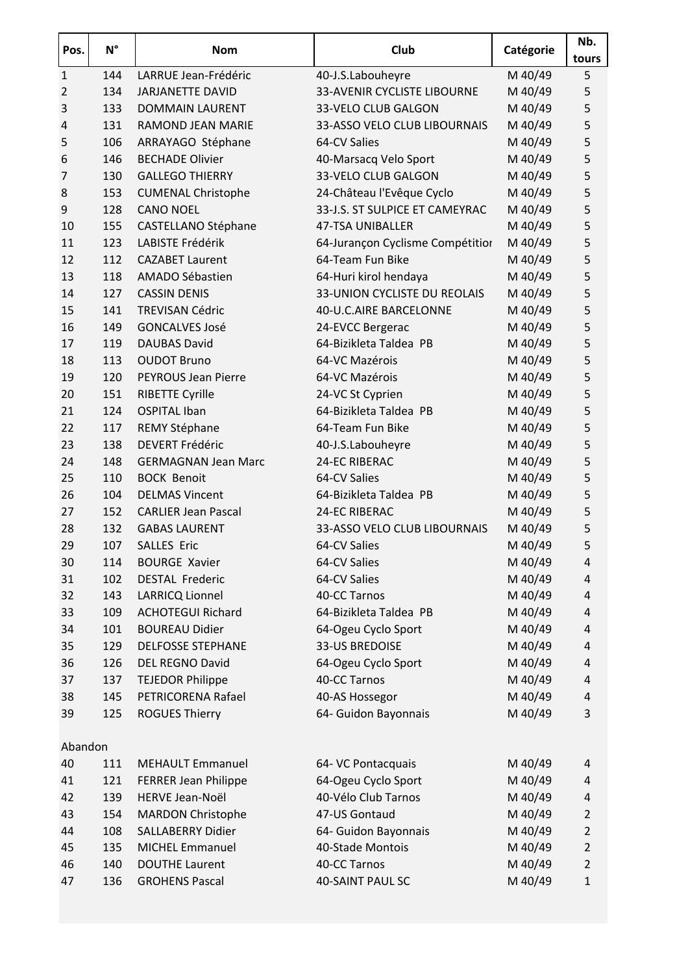| 144<br>LARRUE Jean-Frédéric<br>M 40/49<br>5<br>$\mathbf{1}$<br>40-J.S.Labouheyre<br>134<br>33-AVENIR CYCLISTE LIBOURNE<br>M 40/49<br>5<br>$\overline{2}$<br><b>JARJANETTE DAVID</b><br>5<br>3<br>133<br><b>DOMMAIN LAURENT</b><br>33-VELO CLUB GALGON<br>M 40/49<br>5<br>131<br><b>RAMOND JEAN MARIE</b><br>33-ASSO VELO CLUB LIBOURNAIS<br>M 40/49<br>$\overline{4}$<br>5<br>5<br>106<br>M 40/49<br>ARRAYAGO Stéphane<br>64-CV Salies<br>5<br>146<br><b>BECHADE Olivier</b><br>M 40/49<br>6<br>40-Marsacq Velo Sport<br>5<br><b>GALLEGO THIERRY</b><br>33-VELO CLUB GALGON<br>M 40/49<br>$\overline{7}$<br>130<br>5<br>24-Château l'Evêque Cyclo<br>M 40/49<br>8<br>153<br><b>CUMENAL Christophe</b><br>5<br>33-J.S. ST SULPICE ET CAMEYRAC<br>M 40/49<br>128<br><b>CANO NOEL</b><br>9<br>5<br>M 40/49<br>155<br>10<br><b>CASTELLANO Stéphane</b><br><b>47-TSA UNIBALLER</b><br>5<br>123<br>LABISTE Frédérik<br>M 40/49<br>11<br>64-Jurançon Cyclisme Compétition<br>5<br>12<br>112<br><b>CAZABET Laurent</b><br>64-Team Fun Bike<br>M 40/49<br>5<br>13<br>118<br>AMADO Sébastien<br>64-Huri kirol hendaya<br>M 40/49<br>5<br>127<br><b>CASSIN DENIS</b><br>33-UNION CYCLISTE DU REOLAIS<br>M 40/49<br>14<br>5<br>15<br>141<br>M 40/49<br><b>TREVISAN Cédric</b><br>40-U.C.AIRE BARCELONNE<br>5<br>16<br>149<br><b>GONCALVES José</b><br>24-EVCC Bergerac<br>M 40/49<br>5<br>119<br><b>DAUBAS David</b><br>64-Bizikleta Taldea PB<br>M 40/49<br>17<br>5<br><b>OUDOT Bruno</b><br>64-VC Mazérois<br>M 40/49<br>18<br>113<br>M 40/49<br>5<br>120<br>PEYROUS Jean Pierre<br>64-VC Mazérois<br>19<br>5<br>M 40/49<br>20<br>151<br><b>RIBETTE Cyrille</b><br>24-VC St Cyprien<br>5<br>64-Bizikleta Taldea PB<br>124<br><b>OSPITAL Iban</b><br>M 40/49<br>21<br>5<br>22<br>117<br>64-Team Fun Bike<br>M 40/49<br>REMY Stéphane<br>5<br>138<br><b>DEVERT Frédéric</b><br>40-J.S.Labouheyre<br>M 40/49<br>23<br>M 40/49<br>5<br>24-EC RIBERAC<br>24<br>148<br><b>GERMAGNAN Jean Marc</b><br>5<br>25<br>110<br>64-CV Salies<br>M 40/49<br><b>BOCK Benoit</b><br>5<br>104<br><b>DELMAS Vincent</b><br>64-Bizikleta Taldea PB<br>M 40/49<br>26<br>5<br>152<br><b>24-EC RIBERAC</b><br>M 40/49<br>27<br><b>CARLIER Jean Pascal</b><br>M 40/49<br>5<br>132<br><b>GABAS LAURENT</b><br>33-ASSO VELO CLUB LIBOURNAIS<br>28<br>5<br>107<br>M 40/49<br>29<br><b>SALLES Eric</b><br>64-CV Salies<br>30<br>114<br><b>BOURGE Xavier</b><br>64-CV Salies<br>M 40/49<br>4<br>M 40/49<br>102<br><b>DESTAL Frederic</b><br>64-CV Salies<br>31<br>4<br>40-CC Tarnos<br>M 40/49<br>32<br>143<br><b>LARRICQ Lionnel</b><br>4<br>109<br><b>ACHOTEGUI Richard</b><br>64-Bizikleta Taldea PB<br>M 40/49<br>33<br>4<br>101<br><b>BOUREAU Didier</b><br>64-Ogeu Cyclo Sport<br>M 40/49<br>34<br>4<br>M 40/49<br>129<br><b>DELFOSSE STEPHANE</b><br><b>33-US BREDOISE</b><br>35<br>4<br>36<br>126<br><b>DEL REGNO David</b><br>M 40/49<br>64-Ogeu Cyclo Sport<br>4<br><b>TEJEDOR Philippe</b><br>M 40/49<br>37<br>137<br>40-CC Tarnos<br>4<br>PETRICORENA Rafael<br>M 40/49<br>38<br>145<br>40-AS Hossegor<br>4<br>3<br>125<br>64- Guidon Bayonnais<br>M 40/49<br>39<br><b>ROGUES Thierry</b><br>Abandon<br>40<br>M 40/49<br>111<br><b>MEHAULT Emmanuel</b><br>64- VC Pontacquais<br>4<br>121<br>M 40/49<br>41<br><b>FERRER Jean Philippe</b><br>64-Ogeu Cyclo Sport<br>4<br>139<br>HERVE Jean-Noël<br>40-Vélo Club Tarnos<br>M 40/49<br>42<br>4<br><b>MARDON Christophe</b><br>47-US Gontaud<br>M 40/49<br>43<br>154<br>$\overline{2}$<br>108<br>64- Guidon Bayonnais<br>M 40/49<br>$\overline{2}$<br>44<br><b>SALLABERRY Didier</b><br>135<br><b>MICHEL Emmanuel</b><br>40-Stade Montois<br>M 40/49<br>$\overline{2}$<br>45<br><b>DOUTHE Laurent</b><br>40-CC Tarnos<br>M 40/49<br>$\overline{2}$<br>46<br>140<br>M 40/49<br>47<br>136<br><b>GROHENS Pascal</b><br>40-SAINT PAUL SC<br>$\mathbf{1}$ | Pos. | $N^{\circ}$ | <b>Nom</b> | Club | Catégorie | Nb.<br>tours |
|-----------------------------------------------------------------------------------------------------------------------------------------------------------------------------------------------------------------------------------------------------------------------------------------------------------------------------------------------------------------------------------------------------------------------------------------------------------------------------------------------------------------------------------------------------------------------------------------------------------------------------------------------------------------------------------------------------------------------------------------------------------------------------------------------------------------------------------------------------------------------------------------------------------------------------------------------------------------------------------------------------------------------------------------------------------------------------------------------------------------------------------------------------------------------------------------------------------------------------------------------------------------------------------------------------------------------------------------------------------------------------------------------------------------------------------------------------------------------------------------------------------------------------------------------------------------------------------------------------------------------------------------------------------------------------------------------------------------------------------------------------------------------------------------------------------------------------------------------------------------------------------------------------------------------------------------------------------------------------------------------------------------------------------------------------------------------------------------------------------------------------------------------------------------------------------------------------------------------------------------------------------------------------------------------------------------------------------------------------------------------------------------------------------------------------------------------------------------------------------------------------------------------------------------------------------------------------------------------------------------------------------------------------------------------------------------------------------------------------------------------------------------------------------------------------------------------------------------------------------------------------------------------------------------------------------------------------------------------------------------------------------------------------------------------------------------------------------------------------------------------------------------------------------------------------------------------------------------------------------------------------------------------------------------------------------------------------------------------------------------------------------------------------------------------------------------------------------------------------------------------------------------------------------------------------------------------------------------------------------------------------------------------------------------------------------------------------------------------------------------------------------------------------------------------------------------------------------------------------------------------|------|-------------|------------|------|-----------|--------------|
|                                                                                                                                                                                                                                                                                                                                                                                                                                                                                                                                                                                                                                                                                                                                                                                                                                                                                                                                                                                                                                                                                                                                                                                                                                                                                                                                                                                                                                                                                                                                                                                                                                                                                                                                                                                                                                                                                                                                                                                                                                                                                                                                                                                                                                                                                                                                                                                                                                                                                                                                                                                                                                                                                                                                                                                                                                                                                                                                                                                                                                                                                                                                                                                                                                                                                                                                                                                                                                                                                                                                                                                                                                                                                                                                                                                                                                                                       |      |             |            |      |           |              |
|                                                                                                                                                                                                                                                                                                                                                                                                                                                                                                                                                                                                                                                                                                                                                                                                                                                                                                                                                                                                                                                                                                                                                                                                                                                                                                                                                                                                                                                                                                                                                                                                                                                                                                                                                                                                                                                                                                                                                                                                                                                                                                                                                                                                                                                                                                                                                                                                                                                                                                                                                                                                                                                                                                                                                                                                                                                                                                                                                                                                                                                                                                                                                                                                                                                                                                                                                                                                                                                                                                                                                                                                                                                                                                                                                                                                                                                                       |      |             |            |      |           |              |
|                                                                                                                                                                                                                                                                                                                                                                                                                                                                                                                                                                                                                                                                                                                                                                                                                                                                                                                                                                                                                                                                                                                                                                                                                                                                                                                                                                                                                                                                                                                                                                                                                                                                                                                                                                                                                                                                                                                                                                                                                                                                                                                                                                                                                                                                                                                                                                                                                                                                                                                                                                                                                                                                                                                                                                                                                                                                                                                                                                                                                                                                                                                                                                                                                                                                                                                                                                                                                                                                                                                                                                                                                                                                                                                                                                                                                                                                       |      |             |            |      |           |              |
|                                                                                                                                                                                                                                                                                                                                                                                                                                                                                                                                                                                                                                                                                                                                                                                                                                                                                                                                                                                                                                                                                                                                                                                                                                                                                                                                                                                                                                                                                                                                                                                                                                                                                                                                                                                                                                                                                                                                                                                                                                                                                                                                                                                                                                                                                                                                                                                                                                                                                                                                                                                                                                                                                                                                                                                                                                                                                                                                                                                                                                                                                                                                                                                                                                                                                                                                                                                                                                                                                                                                                                                                                                                                                                                                                                                                                                                                       |      |             |            |      |           |              |
|                                                                                                                                                                                                                                                                                                                                                                                                                                                                                                                                                                                                                                                                                                                                                                                                                                                                                                                                                                                                                                                                                                                                                                                                                                                                                                                                                                                                                                                                                                                                                                                                                                                                                                                                                                                                                                                                                                                                                                                                                                                                                                                                                                                                                                                                                                                                                                                                                                                                                                                                                                                                                                                                                                                                                                                                                                                                                                                                                                                                                                                                                                                                                                                                                                                                                                                                                                                                                                                                                                                                                                                                                                                                                                                                                                                                                                                                       |      |             |            |      |           |              |
|                                                                                                                                                                                                                                                                                                                                                                                                                                                                                                                                                                                                                                                                                                                                                                                                                                                                                                                                                                                                                                                                                                                                                                                                                                                                                                                                                                                                                                                                                                                                                                                                                                                                                                                                                                                                                                                                                                                                                                                                                                                                                                                                                                                                                                                                                                                                                                                                                                                                                                                                                                                                                                                                                                                                                                                                                                                                                                                                                                                                                                                                                                                                                                                                                                                                                                                                                                                                                                                                                                                                                                                                                                                                                                                                                                                                                                                                       |      |             |            |      |           |              |
|                                                                                                                                                                                                                                                                                                                                                                                                                                                                                                                                                                                                                                                                                                                                                                                                                                                                                                                                                                                                                                                                                                                                                                                                                                                                                                                                                                                                                                                                                                                                                                                                                                                                                                                                                                                                                                                                                                                                                                                                                                                                                                                                                                                                                                                                                                                                                                                                                                                                                                                                                                                                                                                                                                                                                                                                                                                                                                                                                                                                                                                                                                                                                                                                                                                                                                                                                                                                                                                                                                                                                                                                                                                                                                                                                                                                                                                                       |      |             |            |      |           |              |
|                                                                                                                                                                                                                                                                                                                                                                                                                                                                                                                                                                                                                                                                                                                                                                                                                                                                                                                                                                                                                                                                                                                                                                                                                                                                                                                                                                                                                                                                                                                                                                                                                                                                                                                                                                                                                                                                                                                                                                                                                                                                                                                                                                                                                                                                                                                                                                                                                                                                                                                                                                                                                                                                                                                                                                                                                                                                                                                                                                                                                                                                                                                                                                                                                                                                                                                                                                                                                                                                                                                                                                                                                                                                                                                                                                                                                                                                       |      |             |            |      |           |              |
|                                                                                                                                                                                                                                                                                                                                                                                                                                                                                                                                                                                                                                                                                                                                                                                                                                                                                                                                                                                                                                                                                                                                                                                                                                                                                                                                                                                                                                                                                                                                                                                                                                                                                                                                                                                                                                                                                                                                                                                                                                                                                                                                                                                                                                                                                                                                                                                                                                                                                                                                                                                                                                                                                                                                                                                                                                                                                                                                                                                                                                                                                                                                                                                                                                                                                                                                                                                                                                                                                                                                                                                                                                                                                                                                                                                                                                                                       |      |             |            |      |           |              |
|                                                                                                                                                                                                                                                                                                                                                                                                                                                                                                                                                                                                                                                                                                                                                                                                                                                                                                                                                                                                                                                                                                                                                                                                                                                                                                                                                                                                                                                                                                                                                                                                                                                                                                                                                                                                                                                                                                                                                                                                                                                                                                                                                                                                                                                                                                                                                                                                                                                                                                                                                                                                                                                                                                                                                                                                                                                                                                                                                                                                                                                                                                                                                                                                                                                                                                                                                                                                                                                                                                                                                                                                                                                                                                                                                                                                                                                                       |      |             |            |      |           |              |
|                                                                                                                                                                                                                                                                                                                                                                                                                                                                                                                                                                                                                                                                                                                                                                                                                                                                                                                                                                                                                                                                                                                                                                                                                                                                                                                                                                                                                                                                                                                                                                                                                                                                                                                                                                                                                                                                                                                                                                                                                                                                                                                                                                                                                                                                                                                                                                                                                                                                                                                                                                                                                                                                                                                                                                                                                                                                                                                                                                                                                                                                                                                                                                                                                                                                                                                                                                                                                                                                                                                                                                                                                                                                                                                                                                                                                                                                       |      |             |            |      |           |              |
|                                                                                                                                                                                                                                                                                                                                                                                                                                                                                                                                                                                                                                                                                                                                                                                                                                                                                                                                                                                                                                                                                                                                                                                                                                                                                                                                                                                                                                                                                                                                                                                                                                                                                                                                                                                                                                                                                                                                                                                                                                                                                                                                                                                                                                                                                                                                                                                                                                                                                                                                                                                                                                                                                                                                                                                                                                                                                                                                                                                                                                                                                                                                                                                                                                                                                                                                                                                                                                                                                                                                                                                                                                                                                                                                                                                                                                                                       |      |             |            |      |           |              |
|                                                                                                                                                                                                                                                                                                                                                                                                                                                                                                                                                                                                                                                                                                                                                                                                                                                                                                                                                                                                                                                                                                                                                                                                                                                                                                                                                                                                                                                                                                                                                                                                                                                                                                                                                                                                                                                                                                                                                                                                                                                                                                                                                                                                                                                                                                                                                                                                                                                                                                                                                                                                                                                                                                                                                                                                                                                                                                                                                                                                                                                                                                                                                                                                                                                                                                                                                                                                                                                                                                                                                                                                                                                                                                                                                                                                                                                                       |      |             |            |      |           |              |
|                                                                                                                                                                                                                                                                                                                                                                                                                                                                                                                                                                                                                                                                                                                                                                                                                                                                                                                                                                                                                                                                                                                                                                                                                                                                                                                                                                                                                                                                                                                                                                                                                                                                                                                                                                                                                                                                                                                                                                                                                                                                                                                                                                                                                                                                                                                                                                                                                                                                                                                                                                                                                                                                                                                                                                                                                                                                                                                                                                                                                                                                                                                                                                                                                                                                                                                                                                                                                                                                                                                                                                                                                                                                                                                                                                                                                                                                       |      |             |            |      |           |              |
|                                                                                                                                                                                                                                                                                                                                                                                                                                                                                                                                                                                                                                                                                                                                                                                                                                                                                                                                                                                                                                                                                                                                                                                                                                                                                                                                                                                                                                                                                                                                                                                                                                                                                                                                                                                                                                                                                                                                                                                                                                                                                                                                                                                                                                                                                                                                                                                                                                                                                                                                                                                                                                                                                                                                                                                                                                                                                                                                                                                                                                                                                                                                                                                                                                                                                                                                                                                                                                                                                                                                                                                                                                                                                                                                                                                                                                                                       |      |             |            |      |           |              |
|                                                                                                                                                                                                                                                                                                                                                                                                                                                                                                                                                                                                                                                                                                                                                                                                                                                                                                                                                                                                                                                                                                                                                                                                                                                                                                                                                                                                                                                                                                                                                                                                                                                                                                                                                                                                                                                                                                                                                                                                                                                                                                                                                                                                                                                                                                                                                                                                                                                                                                                                                                                                                                                                                                                                                                                                                                                                                                                                                                                                                                                                                                                                                                                                                                                                                                                                                                                                                                                                                                                                                                                                                                                                                                                                                                                                                                                                       |      |             |            |      |           |              |
|                                                                                                                                                                                                                                                                                                                                                                                                                                                                                                                                                                                                                                                                                                                                                                                                                                                                                                                                                                                                                                                                                                                                                                                                                                                                                                                                                                                                                                                                                                                                                                                                                                                                                                                                                                                                                                                                                                                                                                                                                                                                                                                                                                                                                                                                                                                                                                                                                                                                                                                                                                                                                                                                                                                                                                                                                                                                                                                                                                                                                                                                                                                                                                                                                                                                                                                                                                                                                                                                                                                                                                                                                                                                                                                                                                                                                                                                       |      |             |            |      |           |              |
|                                                                                                                                                                                                                                                                                                                                                                                                                                                                                                                                                                                                                                                                                                                                                                                                                                                                                                                                                                                                                                                                                                                                                                                                                                                                                                                                                                                                                                                                                                                                                                                                                                                                                                                                                                                                                                                                                                                                                                                                                                                                                                                                                                                                                                                                                                                                                                                                                                                                                                                                                                                                                                                                                                                                                                                                                                                                                                                                                                                                                                                                                                                                                                                                                                                                                                                                                                                                                                                                                                                                                                                                                                                                                                                                                                                                                                                                       |      |             |            |      |           |              |
|                                                                                                                                                                                                                                                                                                                                                                                                                                                                                                                                                                                                                                                                                                                                                                                                                                                                                                                                                                                                                                                                                                                                                                                                                                                                                                                                                                                                                                                                                                                                                                                                                                                                                                                                                                                                                                                                                                                                                                                                                                                                                                                                                                                                                                                                                                                                                                                                                                                                                                                                                                                                                                                                                                                                                                                                                                                                                                                                                                                                                                                                                                                                                                                                                                                                                                                                                                                                                                                                                                                                                                                                                                                                                                                                                                                                                                                                       |      |             |            |      |           |              |
|                                                                                                                                                                                                                                                                                                                                                                                                                                                                                                                                                                                                                                                                                                                                                                                                                                                                                                                                                                                                                                                                                                                                                                                                                                                                                                                                                                                                                                                                                                                                                                                                                                                                                                                                                                                                                                                                                                                                                                                                                                                                                                                                                                                                                                                                                                                                                                                                                                                                                                                                                                                                                                                                                                                                                                                                                                                                                                                                                                                                                                                                                                                                                                                                                                                                                                                                                                                                                                                                                                                                                                                                                                                                                                                                                                                                                                                                       |      |             |            |      |           |              |
|                                                                                                                                                                                                                                                                                                                                                                                                                                                                                                                                                                                                                                                                                                                                                                                                                                                                                                                                                                                                                                                                                                                                                                                                                                                                                                                                                                                                                                                                                                                                                                                                                                                                                                                                                                                                                                                                                                                                                                                                                                                                                                                                                                                                                                                                                                                                                                                                                                                                                                                                                                                                                                                                                                                                                                                                                                                                                                                                                                                                                                                                                                                                                                                                                                                                                                                                                                                                                                                                                                                                                                                                                                                                                                                                                                                                                                                                       |      |             |            |      |           |              |
|                                                                                                                                                                                                                                                                                                                                                                                                                                                                                                                                                                                                                                                                                                                                                                                                                                                                                                                                                                                                                                                                                                                                                                                                                                                                                                                                                                                                                                                                                                                                                                                                                                                                                                                                                                                                                                                                                                                                                                                                                                                                                                                                                                                                                                                                                                                                                                                                                                                                                                                                                                                                                                                                                                                                                                                                                                                                                                                                                                                                                                                                                                                                                                                                                                                                                                                                                                                                                                                                                                                                                                                                                                                                                                                                                                                                                                                                       |      |             |            |      |           |              |
|                                                                                                                                                                                                                                                                                                                                                                                                                                                                                                                                                                                                                                                                                                                                                                                                                                                                                                                                                                                                                                                                                                                                                                                                                                                                                                                                                                                                                                                                                                                                                                                                                                                                                                                                                                                                                                                                                                                                                                                                                                                                                                                                                                                                                                                                                                                                                                                                                                                                                                                                                                                                                                                                                                                                                                                                                                                                                                                                                                                                                                                                                                                                                                                                                                                                                                                                                                                                                                                                                                                                                                                                                                                                                                                                                                                                                                                                       |      |             |            |      |           |              |
|                                                                                                                                                                                                                                                                                                                                                                                                                                                                                                                                                                                                                                                                                                                                                                                                                                                                                                                                                                                                                                                                                                                                                                                                                                                                                                                                                                                                                                                                                                                                                                                                                                                                                                                                                                                                                                                                                                                                                                                                                                                                                                                                                                                                                                                                                                                                                                                                                                                                                                                                                                                                                                                                                                                                                                                                                                                                                                                                                                                                                                                                                                                                                                                                                                                                                                                                                                                                                                                                                                                                                                                                                                                                                                                                                                                                                                                                       |      |             |            |      |           |              |
|                                                                                                                                                                                                                                                                                                                                                                                                                                                                                                                                                                                                                                                                                                                                                                                                                                                                                                                                                                                                                                                                                                                                                                                                                                                                                                                                                                                                                                                                                                                                                                                                                                                                                                                                                                                                                                                                                                                                                                                                                                                                                                                                                                                                                                                                                                                                                                                                                                                                                                                                                                                                                                                                                                                                                                                                                                                                                                                                                                                                                                                                                                                                                                                                                                                                                                                                                                                                                                                                                                                                                                                                                                                                                                                                                                                                                                                                       |      |             |            |      |           |              |
|                                                                                                                                                                                                                                                                                                                                                                                                                                                                                                                                                                                                                                                                                                                                                                                                                                                                                                                                                                                                                                                                                                                                                                                                                                                                                                                                                                                                                                                                                                                                                                                                                                                                                                                                                                                                                                                                                                                                                                                                                                                                                                                                                                                                                                                                                                                                                                                                                                                                                                                                                                                                                                                                                                                                                                                                                                                                                                                                                                                                                                                                                                                                                                                                                                                                                                                                                                                                                                                                                                                                                                                                                                                                                                                                                                                                                                                                       |      |             |            |      |           |              |
|                                                                                                                                                                                                                                                                                                                                                                                                                                                                                                                                                                                                                                                                                                                                                                                                                                                                                                                                                                                                                                                                                                                                                                                                                                                                                                                                                                                                                                                                                                                                                                                                                                                                                                                                                                                                                                                                                                                                                                                                                                                                                                                                                                                                                                                                                                                                                                                                                                                                                                                                                                                                                                                                                                                                                                                                                                                                                                                                                                                                                                                                                                                                                                                                                                                                                                                                                                                                                                                                                                                                                                                                                                                                                                                                                                                                                                                                       |      |             |            |      |           |              |
|                                                                                                                                                                                                                                                                                                                                                                                                                                                                                                                                                                                                                                                                                                                                                                                                                                                                                                                                                                                                                                                                                                                                                                                                                                                                                                                                                                                                                                                                                                                                                                                                                                                                                                                                                                                                                                                                                                                                                                                                                                                                                                                                                                                                                                                                                                                                                                                                                                                                                                                                                                                                                                                                                                                                                                                                                                                                                                                                                                                                                                                                                                                                                                                                                                                                                                                                                                                                                                                                                                                                                                                                                                                                                                                                                                                                                                                                       |      |             |            |      |           |              |
|                                                                                                                                                                                                                                                                                                                                                                                                                                                                                                                                                                                                                                                                                                                                                                                                                                                                                                                                                                                                                                                                                                                                                                                                                                                                                                                                                                                                                                                                                                                                                                                                                                                                                                                                                                                                                                                                                                                                                                                                                                                                                                                                                                                                                                                                                                                                                                                                                                                                                                                                                                                                                                                                                                                                                                                                                                                                                                                                                                                                                                                                                                                                                                                                                                                                                                                                                                                                                                                                                                                                                                                                                                                                                                                                                                                                                                                                       |      |             |            |      |           |              |
|                                                                                                                                                                                                                                                                                                                                                                                                                                                                                                                                                                                                                                                                                                                                                                                                                                                                                                                                                                                                                                                                                                                                                                                                                                                                                                                                                                                                                                                                                                                                                                                                                                                                                                                                                                                                                                                                                                                                                                                                                                                                                                                                                                                                                                                                                                                                                                                                                                                                                                                                                                                                                                                                                                                                                                                                                                                                                                                                                                                                                                                                                                                                                                                                                                                                                                                                                                                                                                                                                                                                                                                                                                                                                                                                                                                                                                                                       |      |             |            |      |           |              |
|                                                                                                                                                                                                                                                                                                                                                                                                                                                                                                                                                                                                                                                                                                                                                                                                                                                                                                                                                                                                                                                                                                                                                                                                                                                                                                                                                                                                                                                                                                                                                                                                                                                                                                                                                                                                                                                                                                                                                                                                                                                                                                                                                                                                                                                                                                                                                                                                                                                                                                                                                                                                                                                                                                                                                                                                                                                                                                                                                                                                                                                                                                                                                                                                                                                                                                                                                                                                                                                                                                                                                                                                                                                                                                                                                                                                                                                                       |      |             |            |      |           |              |
|                                                                                                                                                                                                                                                                                                                                                                                                                                                                                                                                                                                                                                                                                                                                                                                                                                                                                                                                                                                                                                                                                                                                                                                                                                                                                                                                                                                                                                                                                                                                                                                                                                                                                                                                                                                                                                                                                                                                                                                                                                                                                                                                                                                                                                                                                                                                                                                                                                                                                                                                                                                                                                                                                                                                                                                                                                                                                                                                                                                                                                                                                                                                                                                                                                                                                                                                                                                                                                                                                                                                                                                                                                                                                                                                                                                                                                                                       |      |             |            |      |           |              |
|                                                                                                                                                                                                                                                                                                                                                                                                                                                                                                                                                                                                                                                                                                                                                                                                                                                                                                                                                                                                                                                                                                                                                                                                                                                                                                                                                                                                                                                                                                                                                                                                                                                                                                                                                                                                                                                                                                                                                                                                                                                                                                                                                                                                                                                                                                                                                                                                                                                                                                                                                                                                                                                                                                                                                                                                                                                                                                                                                                                                                                                                                                                                                                                                                                                                                                                                                                                                                                                                                                                                                                                                                                                                                                                                                                                                                                                                       |      |             |            |      |           |              |
|                                                                                                                                                                                                                                                                                                                                                                                                                                                                                                                                                                                                                                                                                                                                                                                                                                                                                                                                                                                                                                                                                                                                                                                                                                                                                                                                                                                                                                                                                                                                                                                                                                                                                                                                                                                                                                                                                                                                                                                                                                                                                                                                                                                                                                                                                                                                                                                                                                                                                                                                                                                                                                                                                                                                                                                                                                                                                                                                                                                                                                                                                                                                                                                                                                                                                                                                                                                                                                                                                                                                                                                                                                                                                                                                                                                                                                                                       |      |             |            |      |           |              |
|                                                                                                                                                                                                                                                                                                                                                                                                                                                                                                                                                                                                                                                                                                                                                                                                                                                                                                                                                                                                                                                                                                                                                                                                                                                                                                                                                                                                                                                                                                                                                                                                                                                                                                                                                                                                                                                                                                                                                                                                                                                                                                                                                                                                                                                                                                                                                                                                                                                                                                                                                                                                                                                                                                                                                                                                                                                                                                                                                                                                                                                                                                                                                                                                                                                                                                                                                                                                                                                                                                                                                                                                                                                                                                                                                                                                                                                                       |      |             |            |      |           |              |
|                                                                                                                                                                                                                                                                                                                                                                                                                                                                                                                                                                                                                                                                                                                                                                                                                                                                                                                                                                                                                                                                                                                                                                                                                                                                                                                                                                                                                                                                                                                                                                                                                                                                                                                                                                                                                                                                                                                                                                                                                                                                                                                                                                                                                                                                                                                                                                                                                                                                                                                                                                                                                                                                                                                                                                                                                                                                                                                                                                                                                                                                                                                                                                                                                                                                                                                                                                                                                                                                                                                                                                                                                                                                                                                                                                                                                                                                       |      |             |            |      |           |              |
|                                                                                                                                                                                                                                                                                                                                                                                                                                                                                                                                                                                                                                                                                                                                                                                                                                                                                                                                                                                                                                                                                                                                                                                                                                                                                                                                                                                                                                                                                                                                                                                                                                                                                                                                                                                                                                                                                                                                                                                                                                                                                                                                                                                                                                                                                                                                                                                                                                                                                                                                                                                                                                                                                                                                                                                                                                                                                                                                                                                                                                                                                                                                                                                                                                                                                                                                                                                                                                                                                                                                                                                                                                                                                                                                                                                                                                                                       |      |             |            |      |           |              |
|                                                                                                                                                                                                                                                                                                                                                                                                                                                                                                                                                                                                                                                                                                                                                                                                                                                                                                                                                                                                                                                                                                                                                                                                                                                                                                                                                                                                                                                                                                                                                                                                                                                                                                                                                                                                                                                                                                                                                                                                                                                                                                                                                                                                                                                                                                                                                                                                                                                                                                                                                                                                                                                                                                                                                                                                                                                                                                                                                                                                                                                                                                                                                                                                                                                                                                                                                                                                                                                                                                                                                                                                                                                                                                                                                                                                                                                                       |      |             |            |      |           |              |
|                                                                                                                                                                                                                                                                                                                                                                                                                                                                                                                                                                                                                                                                                                                                                                                                                                                                                                                                                                                                                                                                                                                                                                                                                                                                                                                                                                                                                                                                                                                                                                                                                                                                                                                                                                                                                                                                                                                                                                                                                                                                                                                                                                                                                                                                                                                                                                                                                                                                                                                                                                                                                                                                                                                                                                                                                                                                                                                                                                                                                                                                                                                                                                                                                                                                                                                                                                                                                                                                                                                                                                                                                                                                                                                                                                                                                                                                       |      |             |            |      |           |              |
|                                                                                                                                                                                                                                                                                                                                                                                                                                                                                                                                                                                                                                                                                                                                                                                                                                                                                                                                                                                                                                                                                                                                                                                                                                                                                                                                                                                                                                                                                                                                                                                                                                                                                                                                                                                                                                                                                                                                                                                                                                                                                                                                                                                                                                                                                                                                                                                                                                                                                                                                                                                                                                                                                                                                                                                                                                                                                                                                                                                                                                                                                                                                                                                                                                                                                                                                                                                                                                                                                                                                                                                                                                                                                                                                                                                                                                                                       |      |             |            |      |           |              |
|                                                                                                                                                                                                                                                                                                                                                                                                                                                                                                                                                                                                                                                                                                                                                                                                                                                                                                                                                                                                                                                                                                                                                                                                                                                                                                                                                                                                                                                                                                                                                                                                                                                                                                                                                                                                                                                                                                                                                                                                                                                                                                                                                                                                                                                                                                                                                                                                                                                                                                                                                                                                                                                                                                                                                                                                                                                                                                                                                                                                                                                                                                                                                                                                                                                                                                                                                                                                                                                                                                                                                                                                                                                                                                                                                                                                                                                                       |      |             |            |      |           |              |
|                                                                                                                                                                                                                                                                                                                                                                                                                                                                                                                                                                                                                                                                                                                                                                                                                                                                                                                                                                                                                                                                                                                                                                                                                                                                                                                                                                                                                                                                                                                                                                                                                                                                                                                                                                                                                                                                                                                                                                                                                                                                                                                                                                                                                                                                                                                                                                                                                                                                                                                                                                                                                                                                                                                                                                                                                                                                                                                                                                                                                                                                                                                                                                                                                                                                                                                                                                                                                                                                                                                                                                                                                                                                                                                                                                                                                                                                       |      |             |            |      |           |              |
|                                                                                                                                                                                                                                                                                                                                                                                                                                                                                                                                                                                                                                                                                                                                                                                                                                                                                                                                                                                                                                                                                                                                                                                                                                                                                                                                                                                                                                                                                                                                                                                                                                                                                                                                                                                                                                                                                                                                                                                                                                                                                                                                                                                                                                                                                                                                                                                                                                                                                                                                                                                                                                                                                                                                                                                                                                                                                                                                                                                                                                                                                                                                                                                                                                                                                                                                                                                                                                                                                                                                                                                                                                                                                                                                                                                                                                                                       |      |             |            |      |           |              |
|                                                                                                                                                                                                                                                                                                                                                                                                                                                                                                                                                                                                                                                                                                                                                                                                                                                                                                                                                                                                                                                                                                                                                                                                                                                                                                                                                                                                                                                                                                                                                                                                                                                                                                                                                                                                                                                                                                                                                                                                                                                                                                                                                                                                                                                                                                                                                                                                                                                                                                                                                                                                                                                                                                                                                                                                                                                                                                                                                                                                                                                                                                                                                                                                                                                                                                                                                                                                                                                                                                                                                                                                                                                                                                                                                                                                                                                                       |      |             |            |      |           |              |
|                                                                                                                                                                                                                                                                                                                                                                                                                                                                                                                                                                                                                                                                                                                                                                                                                                                                                                                                                                                                                                                                                                                                                                                                                                                                                                                                                                                                                                                                                                                                                                                                                                                                                                                                                                                                                                                                                                                                                                                                                                                                                                                                                                                                                                                                                                                                                                                                                                                                                                                                                                                                                                                                                                                                                                                                                                                                                                                                                                                                                                                                                                                                                                                                                                                                                                                                                                                                                                                                                                                                                                                                                                                                                                                                                                                                                                                                       |      |             |            |      |           |              |
|                                                                                                                                                                                                                                                                                                                                                                                                                                                                                                                                                                                                                                                                                                                                                                                                                                                                                                                                                                                                                                                                                                                                                                                                                                                                                                                                                                                                                                                                                                                                                                                                                                                                                                                                                                                                                                                                                                                                                                                                                                                                                                                                                                                                                                                                                                                                                                                                                                                                                                                                                                                                                                                                                                                                                                                                                                                                                                                                                                                                                                                                                                                                                                                                                                                                                                                                                                                                                                                                                                                                                                                                                                                                                                                                                                                                                                                                       |      |             |            |      |           |              |
|                                                                                                                                                                                                                                                                                                                                                                                                                                                                                                                                                                                                                                                                                                                                                                                                                                                                                                                                                                                                                                                                                                                                                                                                                                                                                                                                                                                                                                                                                                                                                                                                                                                                                                                                                                                                                                                                                                                                                                                                                                                                                                                                                                                                                                                                                                                                                                                                                                                                                                                                                                                                                                                                                                                                                                                                                                                                                                                                                                                                                                                                                                                                                                                                                                                                                                                                                                                                                                                                                                                                                                                                                                                                                                                                                                                                                                                                       |      |             |            |      |           |              |
|                                                                                                                                                                                                                                                                                                                                                                                                                                                                                                                                                                                                                                                                                                                                                                                                                                                                                                                                                                                                                                                                                                                                                                                                                                                                                                                                                                                                                                                                                                                                                                                                                                                                                                                                                                                                                                                                                                                                                                                                                                                                                                                                                                                                                                                                                                                                                                                                                                                                                                                                                                                                                                                                                                                                                                                                                                                                                                                                                                                                                                                                                                                                                                                                                                                                                                                                                                                                                                                                                                                                                                                                                                                                                                                                                                                                                                                                       |      |             |            |      |           |              |
|                                                                                                                                                                                                                                                                                                                                                                                                                                                                                                                                                                                                                                                                                                                                                                                                                                                                                                                                                                                                                                                                                                                                                                                                                                                                                                                                                                                                                                                                                                                                                                                                                                                                                                                                                                                                                                                                                                                                                                                                                                                                                                                                                                                                                                                                                                                                                                                                                                                                                                                                                                                                                                                                                                                                                                                                                                                                                                                                                                                                                                                                                                                                                                                                                                                                                                                                                                                                                                                                                                                                                                                                                                                                                                                                                                                                                                                                       |      |             |            |      |           |              |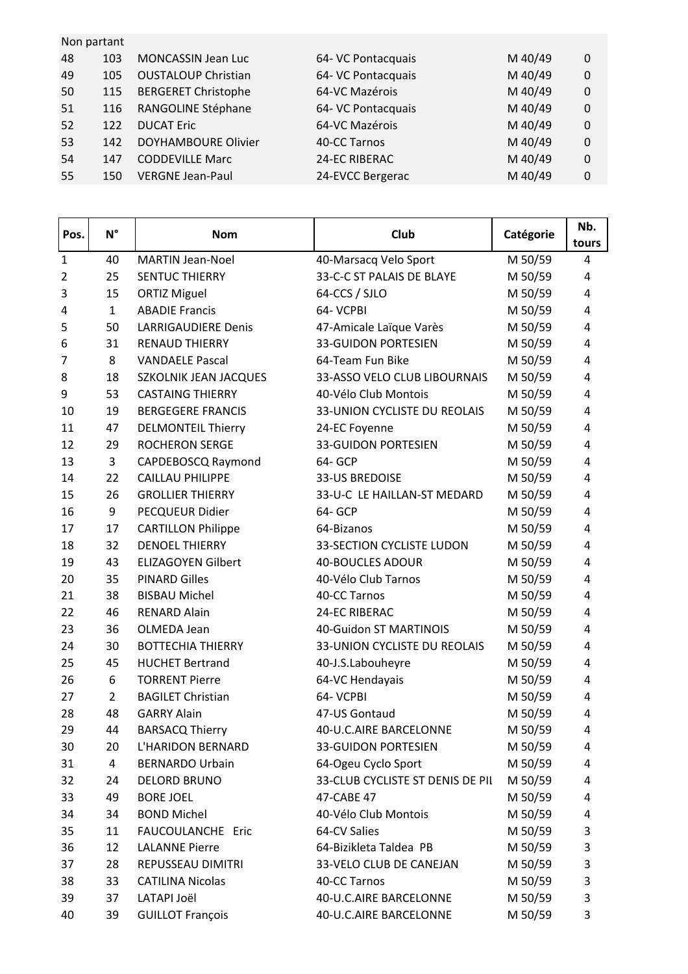|    | Non partant |                            |                    |         |          |
|----|-------------|----------------------------|--------------------|---------|----------|
| 48 | 103         | <b>MONCASSIN Jean Luc</b>  | 64- VC Pontacquais | M 40/49 | 0        |
| 49 | 105         | <b>OUSTALOUP Christian</b> | 64- VC Pontacquais | M 40/49 | $\Omega$ |
| 50 | 115         | <b>BERGERET Christophe</b> | 64-VC Mazérois     | M 40/49 | $\Omega$ |
| 51 | 116         | RANGOLINE Stéphane         | 64- VC Pontacquais | M 40/49 | 0        |
| 52 | 122         | <b>DUCAT Eric</b>          | 64-VC Mazérois     | M 40/49 | $\Omega$ |
| 53 | 142         | <b>DOYHAMBOURE Olivier</b> | 40-CC Tarnos       | M 40/49 | $\Omega$ |
| 54 | 147         | <b>CODDEVILLE Marc</b>     | 24-EC RIBERAC      | M 40/49 | $\Omega$ |
| 55 | 150         | <b>VERGNE Jean-Paul</b>    | 24-EVCC Bergerac   | M 40/49 | 0        |
|    |             |                            |                    |         |          |

| Pos.           | $N^{\circ}$    | <b>Nom</b>                   | Club                             | Catégorie | Nb.<br>tours |
|----------------|----------------|------------------------------|----------------------------------|-----------|--------------|
| $\mathbf{1}$   | 40             | <b>MARTIN Jean-Noel</b>      | 40-Marsacq Velo Sport            | M 50/59   | 4            |
| $\overline{2}$ | 25             | <b>SENTUC THIERRY</b>        | 33-C-C ST PALAIS DE BLAYE        | M 50/59   | 4            |
| 3              | 15             | <b>ORTIZ Miguel</b>          | 64-CCS / SJLO                    | M 50/59   | 4            |
| 4              | $\mathbf{1}$   | <b>ABADIE Francis</b>        | 64- VCPBI                        | M 50/59   | 4            |
| 5              | 50             | <b>LARRIGAUDIERE Denis</b>   | 47-Amicale Laïque Varès          | M 50/59   | 4            |
| 6              | 31             | <b>RENAUD THIERRY</b>        | <b>33-GUIDON PORTESIEN</b>       | M 50/59   | 4            |
| 7              | 8              | <b>VANDAELE Pascal</b>       | 64-Team Fun Bike                 | M 50/59   | 4            |
| 8              | 18             | <b>SZKOLNIK JEAN JACQUES</b> | 33-ASSO VELO CLUB LIBOURNAIS     | M 50/59   | 4            |
| 9              | 53             | <b>CASTAING THIERRY</b>      | 40-Vélo Club Montois             | M 50/59   | 4            |
| 10             | 19             | <b>BERGEGERE FRANCIS</b>     | 33-UNION CYCLISTE DU REOLAIS     | M 50/59   | 4            |
| 11             | 47             | <b>DELMONTEIL Thierry</b>    | 24-EC Foyenne                    | M 50/59   | 4            |
| 12             | 29             | <b>ROCHERON SERGE</b>        | <b>33-GUIDON PORTESIEN</b>       | M 50/59   | 4            |
| 13             | $\overline{3}$ | CAPDEBOSCQ Raymond           | 64- GCP                          | M 50/59   | 4            |
| 14             | 22             | <b>CAILLAU PHILIPPE</b>      | 33-US BREDOISE                   | M 50/59   | 4            |
| 15             | 26             | <b>GROLLIER THIERRY</b>      | 33-U-C LE HAILLAN-ST MEDARD      | M 50/59   | 4            |
| 16             | 9              | PECQUEUR Didier              | 64- GCP                          | M 50/59   | 4            |
| 17             | 17             | <b>CARTILLON Philippe</b>    | 64-Bizanos                       | M 50/59   | 4            |
| 18             | 32             | <b>DENOEL THIERRY</b>        | <b>33-SECTION CYCLISTE LUDON</b> | M 50/59   | 4            |
| 19             | 43             | <b>ELIZAGOYEN Gilbert</b>    | <b>40-BOUCLES ADOUR</b>          | M 50/59   | 4            |
| 20             | 35             | <b>PINARD Gilles</b>         | 40-Vélo Club Tarnos              | M 50/59   | 4            |
| 21             | 38             | <b>BISBAU Michel</b>         | 40-CC Tarnos                     | M 50/59   | 4            |
| 22             | 46             | <b>RENARD Alain</b>          | 24-EC RIBERAC                    | M 50/59   | 4            |
| 23             | 36             | OLMEDA Jean                  | 40-Guidon ST MARTINOIS           | M 50/59   | 4            |
| 24             | 30             | <b>BOTTECHIA THIERRY</b>     | 33-UNION CYCLISTE DU REOLAIS     | M 50/59   | 4            |
| 25             | 45             | <b>HUCHET Bertrand</b>       | 40-J.S.Labouheyre                | M 50/59   | 4            |
| 26             | 6              | <b>TORRENT Pierre</b>        | 64-VC Hendayais                  | M 50/59   | 4            |
| 27             | $\overline{2}$ | <b>BAGILET Christian</b>     | 64- VCPBI                        | M 50/59   | 4            |
| 28             | 48             | <b>GARRY Alain</b>           | 47-US Gontaud                    | M 50/59   | 4            |
| 29             | 44             | <b>BARSACQ Thierry</b>       | 40-U.C.AIRE BARCELONNE           | M 50/59   | 4            |
| 30             | 20             | L'HARIDON BERNARD            | <b>33-GUIDON PORTESIEN</b>       | M 50/59   | 4            |
| 31             | $\overline{4}$ | <b>BERNARDO Urbain</b>       | 64-Ogeu Cyclo Sport              | M 50/59   | 4            |
| 32             | 24             | <b>DELORD BRUNO</b>          | 33-CLUB CYCLISTE ST DENIS DE PII | M 50/59   | 4            |
| 33             | 49             | <b>BORE JOEL</b>             | 47-CABE 47                       | M 50/59   | 4            |
| 34             | 34             | <b>BOND Michel</b>           | 40-Vélo Club Montois             | M 50/59   | 4            |
| 35             | 11             | FAUCOULANCHE Eric            | 64-CV Salies                     | M 50/59   | 3            |
| 36             | 12             | <b>LALANNE Pierre</b>        | 64-Bizikleta Taldea PB           | M 50/59   | 3            |
| 37             | 28             | REPUSSEAU DIMITRI            | 33-VELO CLUB DE CANEJAN          | M 50/59   | 3            |
| 38             | 33             | <b>CATILINA Nicolas</b>      | 40-CC Tarnos                     | M 50/59   | 3            |
| 39             | 37             | LATAPI Joël                  | 40-U.C.AIRE BARCELONNE           | M 50/59   | 3            |
| 40             | 39             | <b>GUILLOT François</b>      | 40-U.C.AIRE BARCELONNE           | M 50/59   | 3            |